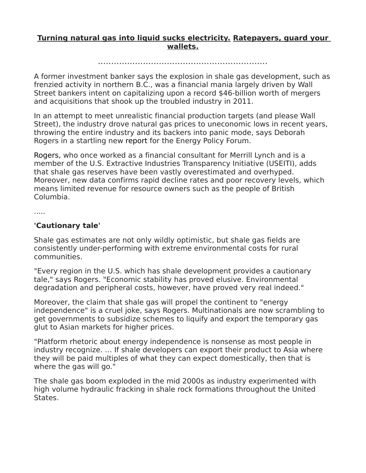## **Turning natural gas into liquid sucks electricity. Ratepayers, guard your wallets.**

................................................................

A former investment banker says the explosion in shale gas development, such as frenzied activity in northern B.C., was a financial mania largely driven by Wall Street bankers intent on capitalizing upon a record \$46-billion worth of mergers and acquisitions that shook up the troubled industry in 2011.

In an attempt to meet unrealistic financial production targets (and please Wall Street), the industry drove natural gas prices to uneconomic lows in recent years, throwing the entire industry and its backers into panic mode, says Deborah Rogers in a startling new [report](http://shalebubble.org/) for the Energy Policy Forum.

[Rogers,](http://energypolicyforum.org/) who once worked as a financial consultant for Merrill Lynch and is a member of the U.S. Extractive Industries Transparency Initiative (USEITI), adds that shale gas reserves have been vastly overestimated and overhyped. Moreover, new data confirms rapid decline rates and poor recovery levels, which means limited revenue for resource owners such as the people of British Columbia.

.....

## **'Cautionary tale'**

Shale gas estimates are not only wildly optimistic, but shale gas fields are consistently under-performing with extreme environmental costs for rural communities.

"Every region in the U.S. which has shale development provides a cautionary tale," says Rogers. "Economic stability has proved elusive. Environmental degradation and peripheral costs, however, have proved very real indeed."

Moreover, the claim that shale gas will propel the continent to "energy independence" is a cruel joke, says Rogers. Multinationals are now scrambling to get governments to subsidize schemes to liquify and export the temporary gas glut to Asian markets for higher prices.

"Platform rhetoric about energy independence is nonsense as most people in industry recognize. … If shale developers can export their product to Asia where they will be paid multiples of what they can expect domestically, then that is where the gas will go."

The shale gas boom exploded in the mid 2000s as industry experimented with high volume hydraulic fracking in shale rock formations throughout the United States.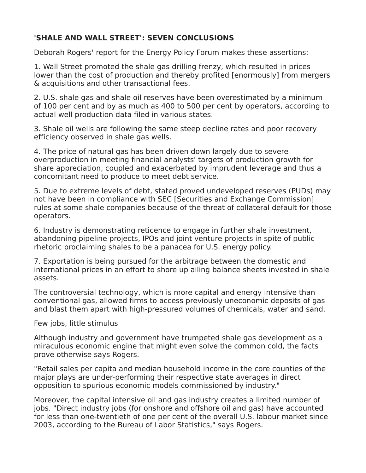## **'SHALE AND WALL STREET': SEVEN CONCLUSIONS**

Deborah Rogers' report for the Energy Policy Forum makes these assertions:

1. Wall Street promoted the shale gas drilling frenzy, which resulted in prices lower than the cost of production and thereby profited [enormously] from mergers & acquisitions and other transactional fees.

2. U.S. shale gas and shale oil reserves have been overestimated by a minimum of 100 per cent and by as much as 400 to 500 per cent by operators, according to actual well production data filed in various states.

3. Shale oil wells are following the same steep decline rates and poor recovery efficiency observed in shale gas wells.

4. The price of natural gas has been driven down largely due to severe overproduction in meeting financial analysts' targets of production growth for share appreciation, coupled and exacerbated by imprudent leverage and thus a concomitant need to produce to meet debt service.

5. Due to extreme levels of debt, stated proved undeveloped reserves (PUDs) may not have been in compliance with SEC [Securities and Exchange Commission] rules at some shale companies because of the threat of collateral default for those operators.

6. Industry is demonstrating reticence to engage in further shale investment, abandoning pipeline projects, IPOs and joint venture projects in spite of public rhetoric proclaiming shales to be a panacea for U.S. energy policy.

7. Exportation is being pursued for the arbitrage between the domestic and international prices in an effort to shore up ailing balance sheets invested in shale assets.

The controversial technology, which is more capital and energy intensive than conventional gas, allowed firms to access previously uneconomic deposits of gas and blast them apart with high-pressured volumes of chemicals, water and sand.

Few jobs, little stimulus

Although industry and government have trumpeted shale gas development as a miraculous economic engine that might even solve the common cold, the facts prove otherwise says Rogers.

"Retail sales per capita and median household income in the core counties of the major plays are under-performing their respective state averages in direct opposition to spurious economic models commissioned by industry."

Moreover, the capital intensive oil and gas industry creates a limited number of jobs. "Direct industry jobs (for onshore and offshore oil and gas) have accounted for less than one-twentieth of one per cent of the overall U.S. labour market since 2003, according to the Bureau of Labor Statistics," says Rogers.